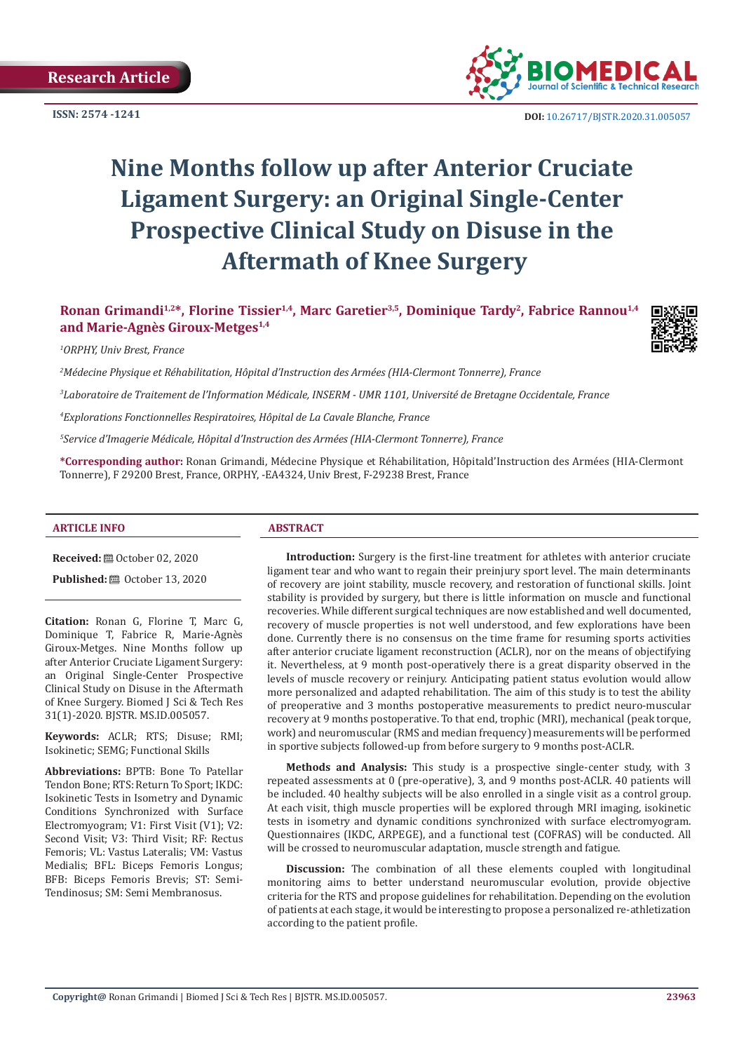**ISSN: 2574 -1241**



 **DOI:** [10.26717/BJSTR.2020.31.005057](http://dx.doi.org/10.26717/BJSTR.2020.31.005057)

# **Nine Months follow up after Anterior Cruciate Ligament Surgery: an Original Single-Center Prospective Clinical Study on Disuse in the Aftermath of Knee Surgery**

Ronan Grimandi<sup>1,2\*</sup>, Florine Tissier<sup>1,4</sup>, Marc Garetier<sup>3,5</sup>, Dominique Tardy<sup>2</sup>, Fabrice Rannou<sup>1,4</sup> **and Marie-Agnès Giroux-Metges1,4**

*1 ORPHY, Univ Brest, France*

*2 Médecine Physique et Réhabilitation, Hôpital d'Instruction des Armées (HIA-Clermont Tonnerre), France*

*3 Laboratoire de Traitement de l'Information Médicale, INSERM - UMR 1101, Université de Bretagne Occidentale, France*

*4 Explorations Fonctionnelles Respiratoires, Hôpital de La Cavale Blanche, France*

*5 Service d'Imagerie Médicale, Hôpital d'Instruction des Armées (HIA-Clermont Tonnerre), France*

**\*Corresponding author:** Ronan Grimandi, Médecine Physique et Réhabilitation, Hôpitald'Instruction des Armées (HIA-Clermont Tonnerre), F 29200 Brest, France, ORPHY, -EA4324, Univ Brest, F-29238 Brest, France

#### **ARTICLE INFO ABSTRACT**

**Received:** ■ October 02, 2020

**Published:** ■ October 13, 2020

**Citation:** Ronan G, Florine T, Marc G, Dominique T, Fabrice R, Marie-Agnès Giroux-Metges. Nine Months follow up after Anterior Cruciate Ligament Surgery: an Original Single-Center Prospective Clinical Study on Disuse in the Aftermath of Knee Surgery. Biomed J Sci & Tech Res 31(1)-2020. BJSTR. MS.ID.005057.

**Keywords:** ACLR; RTS; Disuse; RMI; Isokinetic; SEMG; Functional Skills

**Abbreviations:** BPTB: Bone To Patellar Tendon Bone; RTS: Return To Sport; IKDC: Isokinetic Tests in Isometry and Dynamic Conditions Synchronized with Surface Electromyogram; V1: First Visit (V1); V2: Second Visit; V3: Third Visit; RF: Rectus Femoris; VL: Vastus Lateralis; VM: Vastus Medialis; BFL: Biceps Femoris Longus; BFB: Biceps Femoris Brevis; ST: Semi-Tendinosus; SM: Semi Membranosus.

**Introduction:** Surgery is the first-line treatment for athletes with anterior cruciate ligament tear and who want to regain their preinjury sport level. The main determinants of recovery are joint stability, muscle recovery, and restoration of functional skills. Joint stability is provided by surgery, but there is little information on muscle and functional recoveries. While different surgical techniques are now established and well documented, recovery of muscle properties is not well understood, and few explorations have been done. Currently there is no consensus on the time frame for resuming sports activities after anterior cruciate ligament reconstruction (ACLR), nor on the means of objectifying it. Nevertheless, at 9 month post-operatively there is a great disparity observed in the levels of muscle recovery or reinjury. Anticipating patient status evolution would allow more personalized and adapted rehabilitation. The aim of this study is to test the ability of preoperative and 3 months postoperative measurements to predict neuro-muscular recovery at 9 months postoperative. To that end, trophic (MRI), mechanical (peak torque, work) and neuromuscular (RMS and median frequency) measurements will be performed in sportive subjects followed-up from before surgery to 9 months post-ACLR.

**Methods and Analysis:** This study is a prospective single-center study, with 3 repeated assessments at 0 (pre-operative), 3, and 9 months post-ACLR. 40 patients will be included. 40 healthy subjects will be also enrolled in a single visit as a control group. At each visit, thigh muscle properties will be explored through MRI imaging, isokinetic tests in isometry and dynamic conditions synchronized with surface electromyogram. Questionnaires (IKDC, ARPEGE), and a functional test (COFRAS) will be conducted. All will be crossed to neuromuscular adaptation, muscle strength and fatigue.

**Discussion:** The combination of all these elements coupled with longitudinal monitoring aims to better understand neuromuscular evolution, provide objective criteria for the RTS and propose guidelines for rehabilitation. Depending on the evolution of patients at each stage, it would be interesting to propose a personalized re-athletization according to the patient profile.

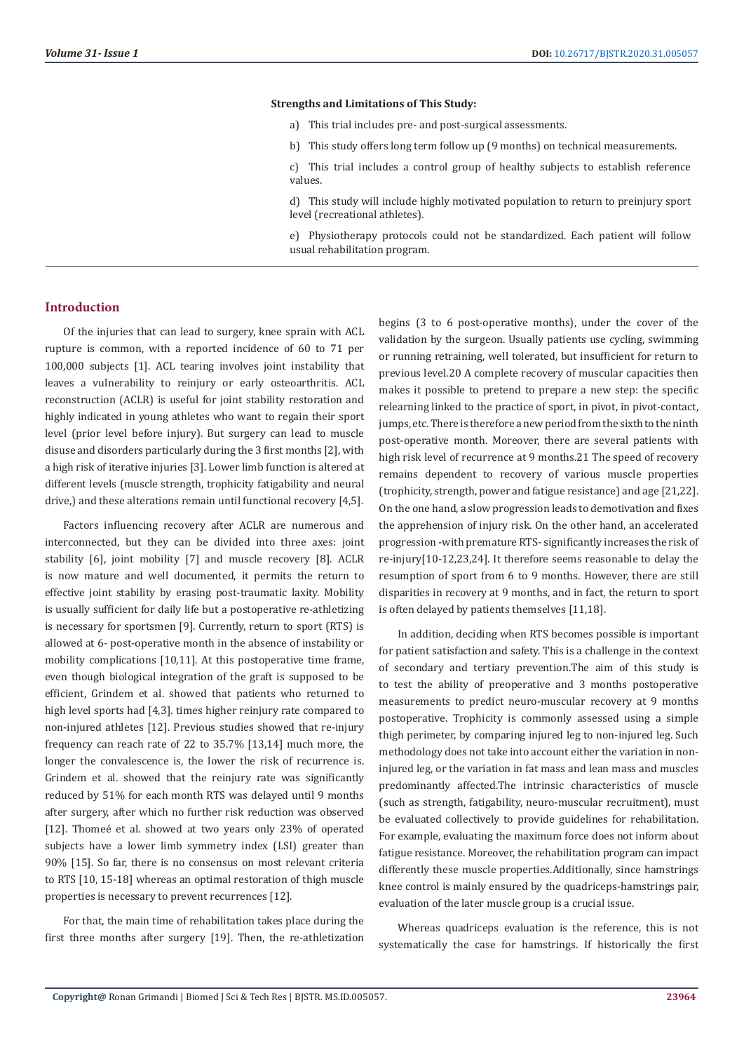#### **Strengths and Limitations of This Study:**

- a) This trial includes pre- and post-surgical assessments.
- b) This study offers long term follow up (9 months) on technical measurements.
- c) This trial includes a control group of healthy subjects to establish reference values.
- d) This study will include highly motivated population to return to preinjury sport level (recreational athletes).
- e) Physiotherapy protocols could not be standardized. Each patient will follow usual rehabilitation program.

# **Introduction**

Of the injuries that can lead to surgery, knee sprain with ACL rupture is common, with a reported incidence of 60 to 71 per 100,000 subjects [1]. ACL tearing involves joint instability that leaves a vulnerability to reinjury or early osteoarthritis. ACL reconstruction (ACLR) is useful for joint stability restoration and highly indicated in young athletes who want to regain their sport level (prior level before injury). But surgery can lead to muscle disuse and disorders particularly during the 3 first months [2], with a high risk of iterative injuries [3]. Lower limb function is altered at different levels (muscle strength, trophicity fatigability and neural drive,) and these alterations remain until functional recovery [4,5].

Factors influencing recovery after ACLR are numerous and interconnected, but they can be divided into three axes: joint stability [6], joint mobility [7] and muscle recovery [8]. ACLR is now mature and well documented, it permits the return to effective joint stability by erasing post-traumatic laxity. Mobility is usually sufficient for daily life but a postoperative re-athletizing is necessary for sportsmen [9]. Currently, return to sport (RTS) is allowed at 6- post-operative month in the absence of instability or mobility complications [10,11]. At this postoperative time frame, even though biological integration of the graft is supposed to be efficient, Grindem et al. showed that patients who returned to high level sports had [4,3]. times higher reinjury rate compared to non-injured athletes [12]. Previous studies showed that re-injury frequency can reach rate of 22 to 35.7% [13,14] much more, the longer the convalescence is, the lower the risk of recurrence is. Grindem et al. showed that the reinjury rate was significantly reduced by 51% for each month RTS was delayed until 9 months after surgery, after which no further risk reduction was observed [12]. Thomeé et al. showed at two years only 23% of operated subjects have a lower limb symmetry index (LSI) greater than 90% [15]. So far, there is no consensus on most relevant criteria to RTS [10, 15-18] whereas an optimal restoration of thigh muscle properties is necessary to prevent recurrences [12].

For that, the main time of rehabilitation takes place during the first three months after surgery [19]. Then, the re-athletization

begins (3 to 6 post-operative months), under the cover of the validation by the surgeon. Usually patients use cycling, swimming or running retraining, well tolerated, but insufficient for return to previous level.20 A complete recovery of muscular capacities then makes it possible to pretend to prepare a new step: the specific relearning linked to the practice of sport, in pivot, in pivot-contact, jumps, etc. There is therefore a new period from the sixth to the ninth post-operative month. Moreover, there are several patients with high risk level of recurrence at 9 months.21 The speed of recovery remains dependent to recovery of various muscle properties (trophicity, strength, power and fatigue resistance) and age [21,22]. On the one hand, a slow progression leads to demotivation and fixes the apprehension of injury risk. On the other hand, an accelerated progression -with premature RTS- significantly increases the risk of re-injury[10-12,23,24]. It therefore seems reasonable to delay the resumption of sport from 6 to 9 months. However, there are still disparities in recovery at 9 months, and in fact, the return to sport is often delayed by patients themselves [11,18].

In addition, deciding when RTS becomes possible is important for patient satisfaction and safety. This is a challenge in the context of secondary and tertiary prevention.The aim of this study is to test the ability of preoperative and 3 months postoperative measurements to predict neuro-muscular recovery at 9 months postoperative. Trophicity is commonly assessed using a simple thigh perimeter, by comparing injured leg to non-injured leg. Such methodology does not take into account either the variation in noninjured leg, or the variation in fat mass and lean mass and muscles predominantly affected.The intrinsic characteristics of muscle (such as strength, fatigability, neuro-muscular recruitment), must be evaluated collectively to provide guidelines for rehabilitation. For example, evaluating the maximum force does not inform about fatigue resistance. Moreover, the rehabilitation program can impact differently these muscle properties.Additionally, since hamstrings knee control is mainly ensured by the quadriceps-hamstrings pair, evaluation of the later muscle group is a crucial issue.

Whereas quadriceps evaluation is the reference, this is not systematically the case for hamstrings. If historically the first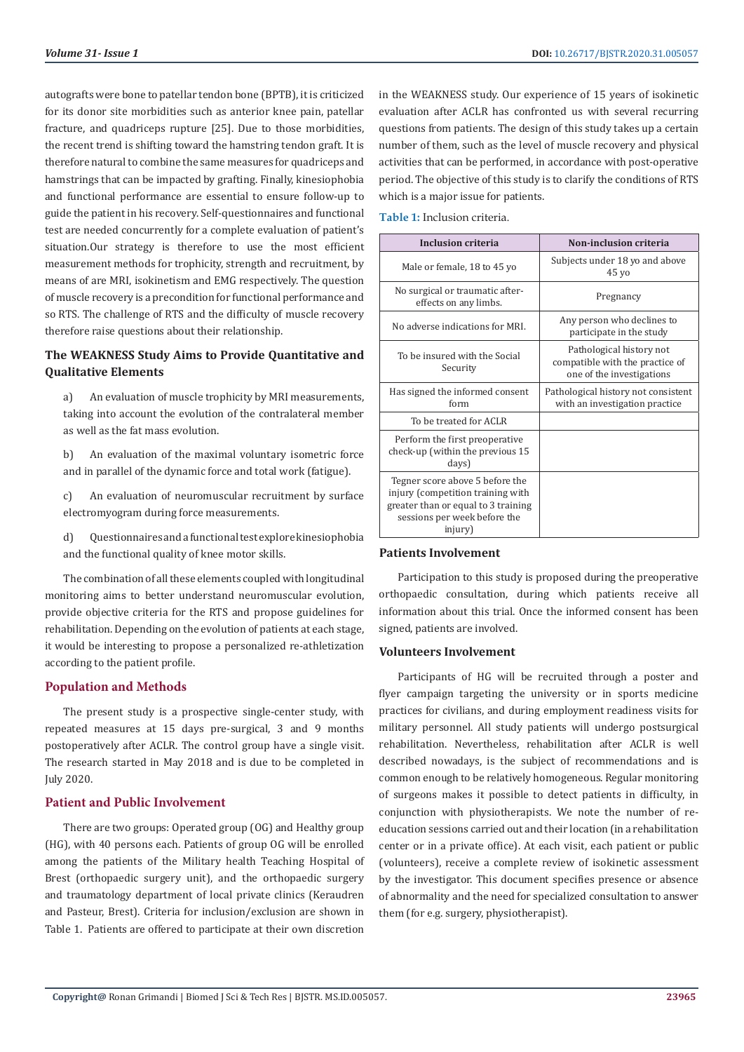autografts were bone to patellar tendon bone (BPTB), it is criticized for its donor site morbidities such as anterior knee pain, patellar fracture, and quadriceps rupture [25]. Due to those morbidities, the recent trend is shifting toward the hamstring tendon graft. It is therefore natural to combine the same measures for quadriceps and hamstrings that can be impacted by grafting. Finally, kinesiophobia and functional performance are essential to ensure follow-up to guide the patient in his recovery. Self-questionnaires and functional test are needed concurrently for a complete evaluation of patient's situation.Our strategy is therefore to use the most efficient measurement methods for trophicity, strength and recruitment, by means of are MRI, isokinetism and EMG respectively. The question of muscle recovery is a precondition for functional performance and so RTS. The challenge of RTS and the difficulty of muscle recovery therefore raise questions about their relationship.

# **The WEAKNESS Study Aims to Provide Quantitative and Qualitative Elements**

- a) An evaluation of muscle trophicity by MRI measurements, taking into account the evolution of the contralateral member as well as the fat mass evolution.
- b) An evaluation of the maximal voluntary isometric force and in parallel of the dynamic force and total work (fatigue).
- c) An evaluation of neuromuscular recruitment by surface electromyogram during force measurements.
- d) Questionnaires and a functional test explore kinesiophobia and the functional quality of knee motor skills.

The combination of all these elements coupled with longitudinal monitoring aims to better understand neuromuscular evolution, provide objective criteria for the RTS and propose guidelines for rehabilitation. Depending on the evolution of patients at each stage, it would be interesting to propose a personalized re-athletization according to the patient profile.

# **Population and Methods**

The present study is a prospective single-center study, with repeated measures at 15 days pre-surgical, 3 and 9 months postoperatively after ACLR. The control group have a single visit. The research started in May 2018 and is due to be completed in July 2020.

# **Patient and Public Involvement**

There are two groups: Operated group (OG) and Healthy group (HG), with 40 persons each. Patients of group OG will be enrolled among the patients of the Military health Teaching Hospital of Brest (orthopaedic surgery unit), and the orthopaedic surgery and traumatology department of local private clinics (Keraudren and Pasteur, Brest). Criteria for inclusion/exclusion are shown in Table 1. Patients are offered to participate at their own discretion

in the WEAKNESS study. Our experience of 15 years of isokinetic evaluation after ACLR has confronted us with several recurring questions from patients. The design of this study takes up a certain number of them, such as the level of muscle recovery and physical activities that can be performed, in accordance with post-operative period. The objective of this study is to clarify the conditions of RTS which is a major issue for patients.

**Table 1:** Inclusion criteria.

| <b>Inclusion criteria</b>                                                                                                                              | Non-inclusion criteria                                                                   |  |  |
|--------------------------------------------------------------------------------------------------------------------------------------------------------|------------------------------------------------------------------------------------------|--|--|
| Male or female, 18 to 45 yo                                                                                                                            | Subjects under 18 yo and above<br>45 yo                                                  |  |  |
| No surgical or traumatic after-<br>effects on any limbs.                                                                                               | Pregnancy                                                                                |  |  |
| No adverse indications for MRI.                                                                                                                        | Any person who declines to<br>participate in the study                                   |  |  |
| To be insured with the Social<br>Security                                                                                                              | Pathological history not<br>compatible with the practice of<br>one of the investigations |  |  |
| Has signed the informed consent<br>form                                                                                                                | Pathological history not consistent<br>with an investigation practice                    |  |  |
| To be treated for ACLR                                                                                                                                 |                                                                                          |  |  |
| Perform the first preoperative<br>check-up (within the previous 15<br>days)                                                                            |                                                                                          |  |  |
| Tegner score above 5 before the<br>injury (competition training with<br>greater than or equal to 3 training<br>sessions per week before the<br>injury) |                                                                                          |  |  |

#### **Patients Involvement**

Participation to this study is proposed during the preoperative orthopaedic consultation, during which patients receive all information about this trial. Once the informed consent has been signed, patients are involved.

#### **Volunteers Involvement**

Participants of HG will be recruited through a poster and flyer campaign targeting the university or in sports medicine practices for civilians, and during employment readiness visits for military personnel. All study patients will undergo postsurgical rehabilitation. Nevertheless, rehabilitation after ACLR is well described nowadays, is the subject of recommendations and is common enough to be relatively homogeneous. Regular monitoring of surgeons makes it possible to detect patients in difficulty, in conjunction with physiotherapists. We note the number of reeducation sessions carried out and their location (in a rehabilitation center or in a private office). At each visit, each patient or public (volunteers), receive a complete review of isokinetic assessment by the investigator. This document specifies presence or absence of abnormality and the need for specialized consultation to answer them (for e.g. surgery, physiotherapist).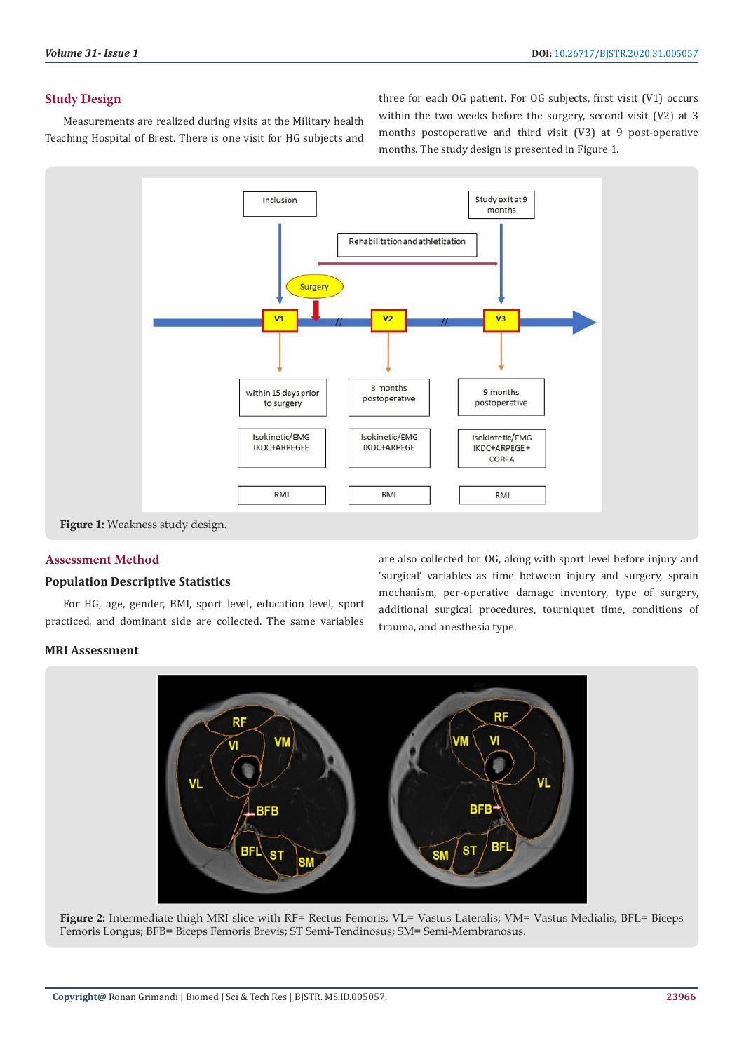# **Study Design**

Measurements are realized during visits at the Military health Teaching Hospital of Brest. There is one visit for HG subjects and three for each OG patient. For OG subjects, first visit (V1) occurs within the two weeks before the surgery, second visit (V2) at 3 months postoperative and third visit (V3) at 9 post-operative months. The study design is presented in Figure 1.



# **Assessment Method**

#### **Population Descriptive Statistics**

For HG, age, gender, BMI, sport level, education level, sport practiced, and dominant side are collected. The same variables are also collected for OG, along with sport level before injury and 'surgical' variables as time between injury and surgery, sprain mechanism, per-operative damage inventory, type of surgery, additional surgical procedures, tourniquet time, conditions of trauma, and anesthesia type.

#### **MRI Assessment**



**Figure 2:** Intermediate thigh MRI slice with RF= Rectus Femoris; VL= Vastus Lateralis; VM= Vastus Medialis; BFL= Biceps Femoris Longus; BFB= Biceps Femoris Brevis; ST Semi-Tendinosus; SM= Semi-Membranosus.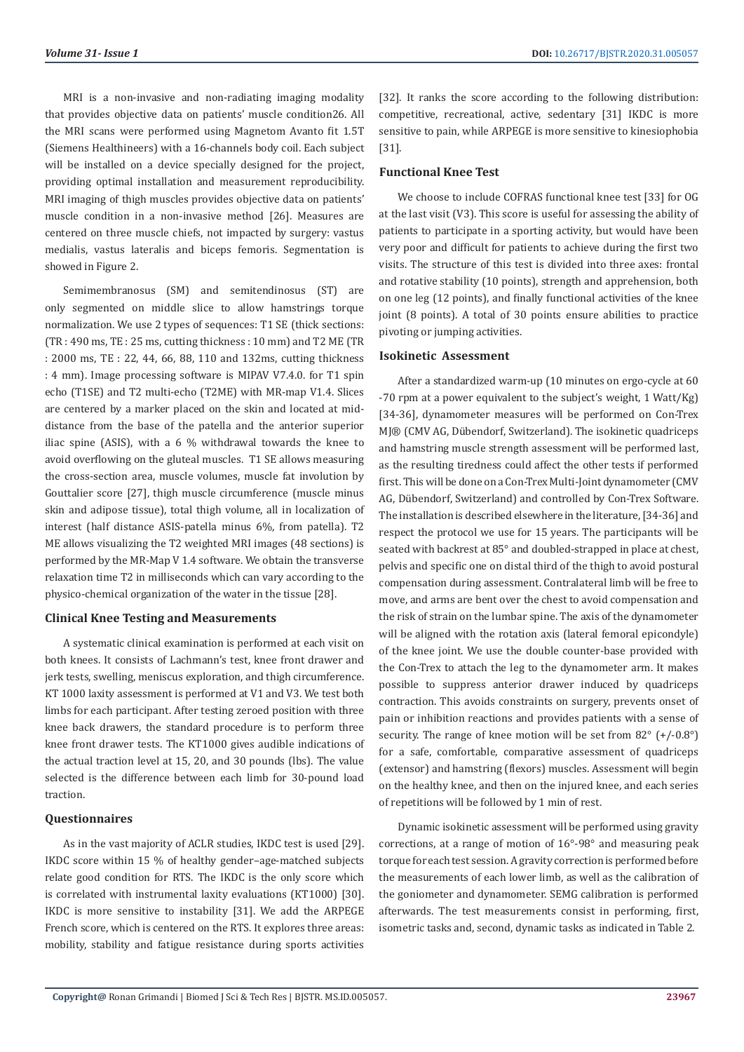MRI is a non-invasive and non-radiating imaging modality that provides objective data on patients' muscle condition26. All the MRI scans were performed using Magnetom Avanto fit 1.5T (Siemens Healthineers) with a 16-channels body coil. Each subject will be installed on a device specially designed for the project, providing optimal installation and measurement reproducibility. MRI imaging of thigh muscles provides objective data on patients' muscle condition in a non-invasive method [26]. Measures are centered on three muscle chiefs, not impacted by surgery: vastus medialis, vastus lateralis and biceps femoris. Segmentation is showed in Figure 2.

Semimembranosus (SM) and semitendinosus (ST) are only segmented on middle slice to allow hamstrings torque normalization. We use 2 types of sequences: T1 SE (thick sections: (TR : 490 ms, TE : 25 ms, cutting thickness : 10 mm) and T2 ME (TR : 2000 ms, TE : 22, 44, 66, 88, 110 and 132ms, cutting thickness : 4 mm). Image processing software is MIPAV V7.4.0. for T1 spin echo (T1SE) and T2 multi-echo (T2ME) with MR-map V1.4. Slices are centered by a marker placed on the skin and located at middistance from the base of the patella and the anterior superior iliac spine (ASIS), with a 6 % withdrawal towards the knee to avoid overflowing on the gluteal muscles. T1 SE allows measuring the cross-section area, muscle volumes, muscle fat involution by Gouttalier score [27], thigh muscle circumference (muscle minus skin and adipose tissue), total thigh volume, all in localization of interest (half distance ASIS-patella minus 6%, from patella). T2 ME allows visualizing the T2 weighted MRI images (48 sections) is performed by the MR-Map V 1.4 software. We obtain the transverse relaxation time T2 in milliseconds which can vary according to the physico-chemical organization of the water in the tissue [28].

#### **Clinical Knee Testing and Measurements**

A systematic clinical examination is performed at each visit on both knees. It consists of Lachmann's test, knee front drawer and jerk tests, swelling, meniscus exploration, and thigh circumference. KT 1000 laxity assessment is performed at V1 and V3. We test both limbs for each participant. After testing zeroed position with three knee back drawers, the standard procedure is to perform three knee front drawer tests. The KT1000 gives audible indications of the actual traction level at 15, 20, and 30 pounds (lbs). The value selected is the difference between each limb for 30-pound load traction.

#### **Questionnaires**

As in the vast majority of ACLR studies, IKDC test is used [29]. IKDC score within 15 % of healthy gender–age-matched subjects relate good condition for RTS. The IKDC is the only score which is correlated with instrumental laxity evaluations (KT1000) [30]. IKDC is more sensitive to instability [31]. We add the ARPEGE French score, which is centered on the RTS. It explores three areas: mobility, stability and fatigue resistance during sports activities

[32]. It ranks the score according to the following distribution: competitive, recreational, active, sedentary [31] IKDC is more sensitive to pain, while ARPEGE is more sensitive to kinesiophobia [31].

# **Functional Knee Test**

We choose to include COFRAS functional knee test [33] for OG at the last visit (V3). This score is useful for assessing the ability of patients to participate in a sporting activity, but would have been very poor and difficult for patients to achieve during the first two visits. The structure of this test is divided into three axes: frontal and rotative stability (10 points), strength and apprehension, both on one leg (12 points), and finally functional activities of the knee joint (8 points). A total of 30 points ensure abilities to practice pivoting or jumping activities.

# **Isokinetic Assessment**

After a standardized warm-up (10 minutes on ergo-cycle at 60 -70 rpm at a power equivalent to the subject's weight, 1 Watt/Kg) [34-36], dynamometer measures will be performed on Con-Trex MJ® (CMV AG, Dübendorf, Switzerland). The isokinetic quadriceps and hamstring muscle strength assessment will be performed last, as the resulting tiredness could affect the other tests if performed first. This will be done on a Con-Trex Multi-Joint dynamometer (CMV AG, Dübendorf, Switzerland) and controlled by Con-Trex Software. The installation is described elsewhere in the literature, [34-36] and respect the protocol we use for 15 years. The participants will be seated with backrest at 85° and doubled-strapped in place at chest, pelvis and specific one on distal third of the thigh to avoid postural compensation during assessment. Contralateral limb will be free to move, and arms are bent over the chest to avoid compensation and the risk of strain on the lumbar spine. The axis of the dynamometer will be aligned with the rotation axis (lateral femoral epicondyle) of the knee joint. We use the double counter-base provided with the Con-Trex to attach the leg to the dynamometer arm. It makes possible to suppress anterior drawer induced by quadriceps contraction. This avoids constraints on surgery, prevents onset of pain or inhibition reactions and provides patients with a sense of security. The range of knee motion will be set from 82° (+/-0.8°) for a safe, comfortable, comparative assessment of quadriceps (extensor) and hamstring (flexors) muscles. Assessment will begin on the healthy knee, and then on the injured knee, and each series of repetitions will be followed by 1 min of rest.

Dynamic isokinetic assessment will be performed using gravity corrections, at a range of motion of 16°-98° and measuring peak torque for each test session. A gravity correction is performed before the measurements of each lower limb, as well as the calibration of the goniometer and dynamometer. SEMG calibration is performed afterwards. The test measurements consist in performing, first, isometric tasks and, second, dynamic tasks as indicated in Table 2.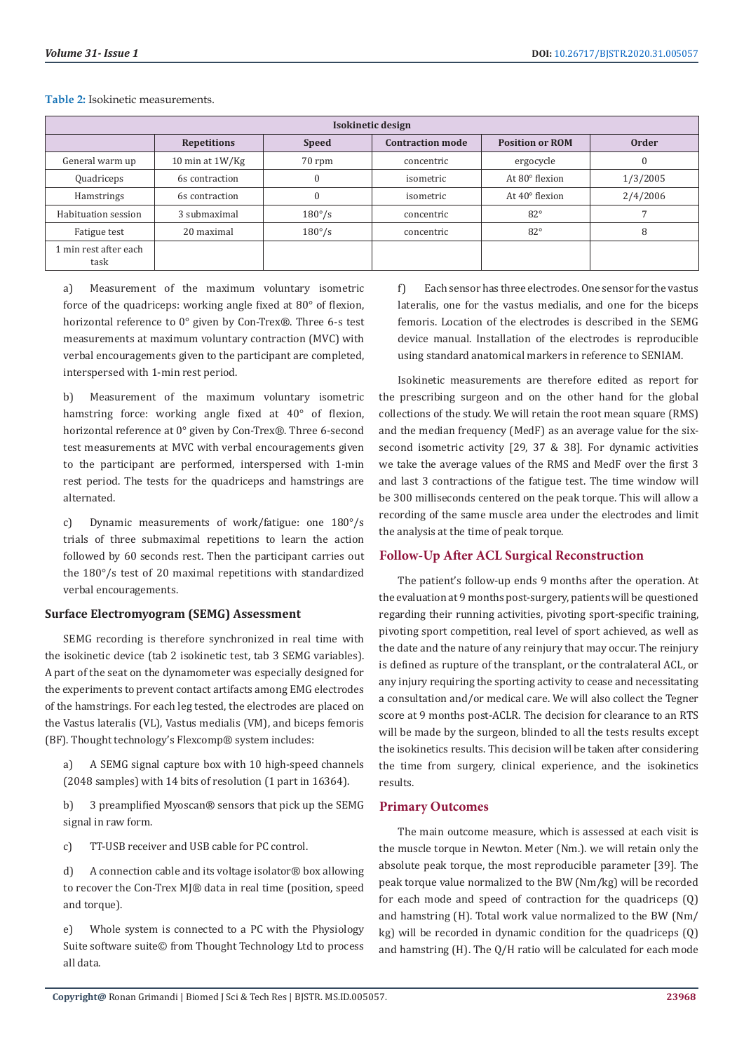| Isokinetic design             |                    |                 |                         |                        |              |
|-------------------------------|--------------------|-----------------|-------------------------|------------------------|--------------|
|                               | <b>Repetitions</b> | <b>Speed</b>    | <b>Contraction mode</b> | <b>Position or ROM</b> | <b>Order</b> |
| General warm up               | 10 min at 1W/Kg    | 70 rpm          | concentric              | ergocycle              |              |
| Quadriceps                    | 6s contraction     | 0               | isometric               | At 80° flexion         | 1/3/2005     |
| <b>Hamstrings</b>             | 6s contraction     | $\theta$        | isometric               | At 40° flexion         | 2/4/2006     |
| Habituation session           | 3 submaximal       | $180^{\circ}/s$ | concentric              | $82^{\circ}$           |              |
| Fatigue test                  | 20 maximal         | $180^{\circ}/s$ | concentric              | $82^{\circ}$           | 8            |
| l min rest after each<br>task |                    |                 |                         |                        |              |

#### **Table 2:** Isokinetic measurements.

a) Measurement of the maximum voluntary isometric force of the quadriceps: working angle fixed at 80° of flexion, horizontal reference to 0° given by Con-Trex®. Three 6-s test measurements at maximum voluntary contraction (MVC) with verbal encouragements given to the participant are completed, interspersed with 1-min rest period.

b) Measurement of the maximum voluntary isometric hamstring force: working angle fixed at 40° of flexion, horizontal reference at 0° given by Con-Trex®. Three 6-second test measurements at MVC with verbal encouragements given to the participant are performed, interspersed with 1-min rest period. The tests for the quadriceps and hamstrings are alternated.

c) Dynamic measurements of work/fatigue: one 180°/s trials of three submaximal repetitions to learn the action followed by 60 seconds rest. Then the participant carries out the 180°/s test of 20 maximal repetitions with standardized verbal encouragements.

#### **Surface Electromyogram (SEMG) Assessment**

SEMG recording is therefore synchronized in real time with the isokinetic device (tab 2 isokinetic test, tab 3 SEMG variables). A part of the seat on the dynamometer was especially designed for the experiments to prevent contact artifacts among EMG electrodes of the hamstrings. For each leg tested, the electrodes are placed on the Vastus lateralis (VL), Vastus medialis (VM), and biceps femoris (BF). Thought technology's Flexcomp® system includes:

a) A SEMG signal capture box with 10 high-speed channels (2048 samples) with 14 bits of resolution (1 part in 16364).

b) 3 preamplified Myoscan® sensors that pick up the SEMG signal in raw form.

c) TT-USB receiver and USB cable for PC control.

d) A connection cable and its voltage isolator® box allowing to recover the Con-Trex MJ® data in real time (position, speed and torque).

e) Whole system is connected to a PC with the Physiology Suite software suite© from Thought Technology Ltd to process all data.

f) Each sensor has three electrodes. One sensor for the vastus lateralis, one for the vastus medialis, and one for the biceps femoris. Location of the electrodes is described in the SEMG device manual. Installation of the electrodes is reproducible using standard anatomical markers in reference to SENIAM.

Isokinetic measurements are therefore edited as report for the prescribing surgeon and on the other hand for the global collections of the study. We will retain the root mean square (RMS) and the median frequency (MedF) as an average value for the sixsecond isometric activity [29, 37 & 38]. For dynamic activities we take the average values of the RMS and MedF over the first 3 and last 3 contractions of the fatigue test. The time window will be 300 milliseconds centered on the peak torque. This will allow a recording of the same muscle area under the electrodes and limit the analysis at the time of peak torque.

#### **Follow-Up After ACL Surgical Reconstruction**

The patient's follow-up ends 9 months after the operation. At the evaluation at 9 months post-surgery, patients will be questioned regarding their running activities, pivoting sport-specific training, pivoting sport competition, real level of sport achieved, as well as the date and the nature of any reinjury that may occur. The reinjury is defined as rupture of the transplant, or the contralateral ACL, or any injury requiring the sporting activity to cease and necessitating a consultation and/or medical care. We will also collect the Tegner score at 9 months post-ACLR. The decision for clearance to an RTS will be made by the surgeon, blinded to all the tests results except the isokinetics results. This decision will be taken after considering the time from surgery, clinical experience, and the isokinetics results.

#### **Primary Outcomes**

The main outcome measure, which is assessed at each visit is the muscle torque in Newton. Meter (Nm.). we will retain only the absolute peak torque, the most reproducible parameter [39]. The peak torque value normalized to the BW (Nm/kg) will be recorded for each mode and speed of contraction for the quadriceps (Q) and hamstring (H). Total work value normalized to the BW (Nm/ kg) will be recorded in dynamic condition for the quadriceps (Q) and hamstring (H). The Q/H ratio will be calculated for each mode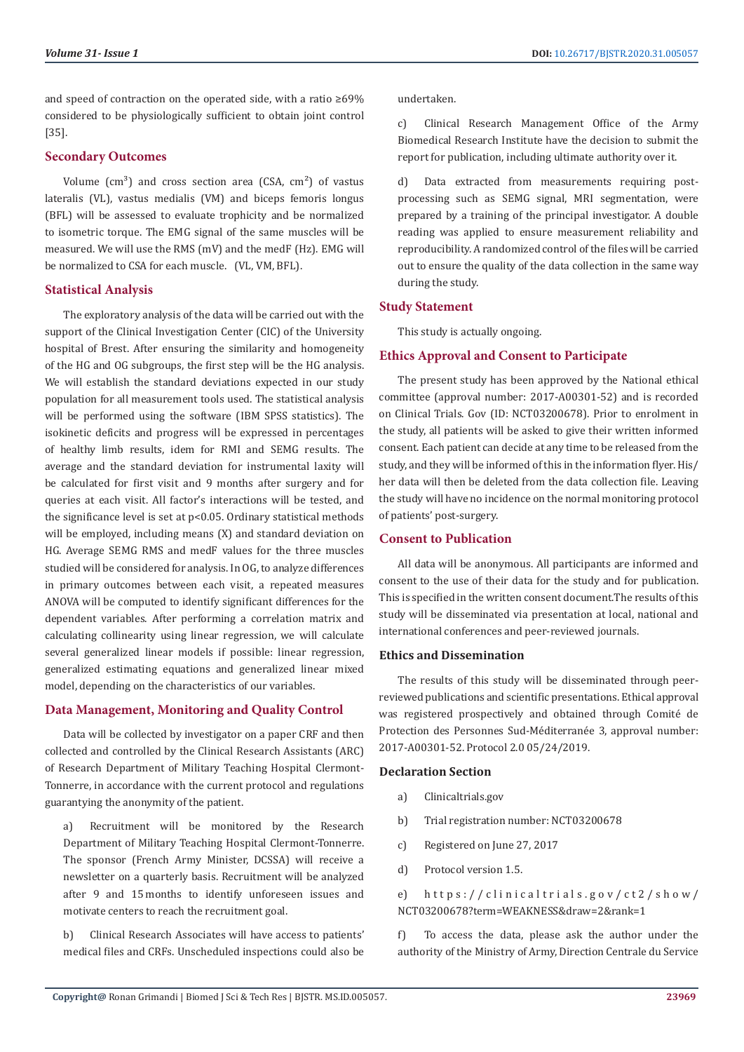and speed of contraction on the operated side, with a ratio ≥69% considered to be physiologically sufficient to obtain joint control [35].

# **Secondary Outcomes**

Volume  $(cm<sup>3</sup>)$  and cross section area  $(CSA, cm<sup>2</sup>)$  of vastus lateralis (VL), vastus medialis (VM) and biceps femoris longus (BFL) will be assessed to evaluate trophicity and be normalized to isometric torque. The EMG signal of the same muscles will be measured. We will use the RMS (mV) and the medF (Hz). EMG will be normalized to CSA for each muscle. (VL, VM, BFL).

# **Statistical Analysis**

The exploratory analysis of the data will be carried out with the support of the Clinical Investigation Center (CIC) of the University hospital of Brest. After ensuring the similarity and homogeneity of the HG and OG subgroups, the first step will be the HG analysis. We will establish the standard deviations expected in our study population for all measurement tools used. The statistical analysis will be performed using the software (IBM SPSS statistics). The isokinetic deficits and progress will be expressed in percentages of healthy limb results, idem for RMI and SEMG results. The average and the standard deviation for instrumental laxity will be calculated for first visit and 9 months after surgery and for queries at each visit. All factor's interactions will be tested, and the significance level is set at p<0.05. Ordinary statistical methods will be employed, including means (X) and standard deviation on HG. Average SEMG RMS and medF values for the three muscles studied will be considered for analysis. In OG, to analyze differences in primary outcomes between each visit, a repeated measures ANOVA will be computed to identify significant differences for the dependent variables. After performing a correlation matrix and calculating collinearity using linear regression, we will calculate several generalized linear models if possible: linear regression, generalized estimating equations and generalized linear mixed model, depending on the characteristics of our variables.

# **Data Management, Monitoring and Quality Control**

Data will be collected by investigator on a paper CRF and then collected and controlled by the Clinical Research Assistants (ARC) of Research Department of Military Teaching Hospital Clermont-Tonnerre, in accordance with the current protocol and regulations guarantying the anonymity of the patient.

a) Recruitment will be monitored by the Research Department of Military Teaching Hospital Clermont-Tonnerre. The sponsor (French Army Minister, DCSSA) will receive a newsletter on a quarterly basis. Recruitment will be analyzed after 9 and 15 months to identify unforeseen issues and motivate centers to reach the recruitment goal.

b) Clinical Research Associates will have access to patients' medical files and CRFs. Unscheduled inspections could also be undertaken.

c) Clinical Research Management Office of the Army Biomedical Research Institute have the decision to submit the report for publication, including ultimate authority over it.

d) Data extracted from measurements requiring postprocessing such as SEMG signal, MRI segmentation, were prepared by a training of the principal investigator. A double reading was applied to ensure measurement reliability and reproducibility. A randomized control of the files will be carried out to ensure the quality of the data collection in the same way during the study.

# **Study Statement**

This study is actually ongoing.

# **Ethics Approval and Consent to Participate**

The present study has been approved by the National ethical committee (approval number: 2017-A00301-52) and is recorded on Clinical Trials. Gov (ID: NCT03200678). Prior to enrolment in the study, all patients will be asked to give their written informed consent. Each patient can decide at any time to be released from the study, and they will be informed of this in the information flyer. His/ her data will then be deleted from the data collection file. Leaving the study will have no incidence on the normal monitoring protocol of patients' post-surgery.

#### **Consent to Publication**

All data will be anonymous. All participants are informed and consent to the use of their data for the study and for publication. This is specified in the written consent document.The results of this study will be disseminated via presentation at local, national and international conferences and peer-reviewed journals.

# **Ethics and Dissemination**

The results of this study will be disseminated through peerreviewed publications and scientific presentations. Ethical approval was registered prospectively and obtained through Comité de Protection des Personnes Sud-Méditerranée 3, approval number: 2017-A00301-52. Protocol 2.0 05/24/2019.

# **Declaration Section**

- a) Clinicaltrials.gov
- b) Trial registration number: NCT03200678
- c) Registered on June 27, 2017
- d) Protocol version 1.5.

e) https://clinicaltrials.gov/ct2/show/ NCT03200678?term=WEAKNESS&draw=2&rank=1

f) To access the data, please ask the author under the authority of the Ministry of Army, Direction Centrale du Service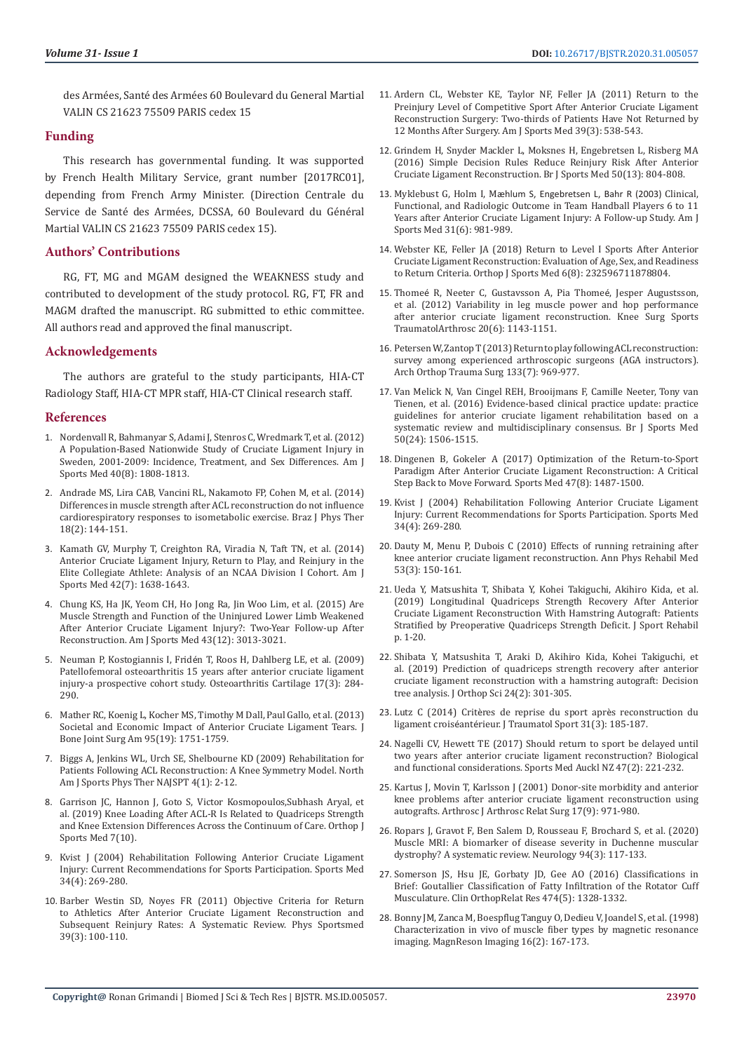des Armées, Santé des Armées 60 Boulevard du General Martial VALIN CS 21623 75509 PARIS cedex 15

# **Funding**

This research has governmental funding. It was supported by French Health Military Service, grant number [2017RC01], depending from French Army Minister. (Direction Centrale du Service de Santé des Armées, DCSSA, 60 Boulevard du Général Martial VALIN CS 21623 75509 PARIS cedex 15).

# **Authors' Contributions**

RG, FT, MG and MGAM designed the WEAKNESS study and contributed to development of the study protocol. RG, FT, FR and MAGM drafted the manuscript. RG submitted to ethic committee. All authors read and approved the final manuscript.

# **Acknowledgements**

The authors are grateful to the study participants, HIA-CT Radiology Staff, HIA-CT MPR staff, HIA-CT Clinical research staff.

#### **References**

- 1. [Nordenvall R, Bahmanyar S, Adami J, Stenros C, Wredmark T, et al. \(2012\)](https://pubmed.ncbi.nlm.nih.gov/22684536/)  [A Population-Based Nationwide Study of Cruciate Ligament Injury in](https://pubmed.ncbi.nlm.nih.gov/22684536/)  [Sweden, 2001-2009: Incidence, Treatment, and Sex Differences. Am J](https://pubmed.ncbi.nlm.nih.gov/22684536/)  [Sports Med 40\(8\): 1808-1813.](https://pubmed.ncbi.nlm.nih.gov/22684536/)
- 2. [Andrade MS, Lira CAB, Vancini RL, Nakamoto FP, Cohen M, et al. \(2014\)](https://www.scielo.br/pdf/rbfis/v18n2/1413-3555-rbfis-1413-35552012005000153.pdf)  [Differences in muscle strength after ACL reconstruction do not influence](https://www.scielo.br/pdf/rbfis/v18n2/1413-3555-rbfis-1413-35552012005000153.pdf)  [cardiorespiratory responses to isometabolic exercise. Braz J Phys Ther](https://www.scielo.br/pdf/rbfis/v18n2/1413-3555-rbfis-1413-35552012005000153.pdf)  [18\(2\): 144-151.](https://www.scielo.br/pdf/rbfis/v18n2/1413-3555-rbfis-1413-35552012005000153.pdf)
- 3. [Kamath GV, Murphy T, Creighton RA, Viradia N, Taft TN, et al. \(2014\)](https://journals.sagepub.com/doi/abs/10.1177/0363546514524164)  [Anterior Cruciate Ligament Injury, Return to Play, and Reinjury in the](https://journals.sagepub.com/doi/abs/10.1177/0363546514524164)  [Elite Collegiate Athlete: Analysis of an NCAA Division I Cohort. Am J](https://journals.sagepub.com/doi/abs/10.1177/0363546514524164)  [Sports Med 42\(7\): 1638-1643.](https://journals.sagepub.com/doi/abs/10.1177/0363546514524164)
- 4. [Chung KS, Ha JK, Yeom CH, Ho Jong Ra, Jin Woo Lim, et al. \(2015\) Are](https://pubmed.ncbi.nlm.nih.gov/26460100/)  [Muscle Strength and Function of the Uninjured Lower Limb Weakened](https://pubmed.ncbi.nlm.nih.gov/26460100/)  [After Anterior Cruciate Ligament Injury?: Two-Year Follow-up After](https://pubmed.ncbi.nlm.nih.gov/26460100/)  [Reconstruction. Am J Sports Med 43\(12\): 3013-3021.](https://pubmed.ncbi.nlm.nih.gov/26460100/)
- 5. Neuman P, Kostogiannis I, Fridé[n T, Roos H, Dahlberg LE, et al. \(2009\)](https://www.sciencedirect.com/science/article/pii/S1063458408002392)  [Patellofemoral osteoarthritis 15 years after anterior cruciate ligament](https://www.sciencedirect.com/science/article/pii/S1063458408002392)  [injury-a prospective cohort study. Osteoarthritis Cartilage 17\(3\): 284-](https://www.sciencedirect.com/science/article/pii/S1063458408002392) [290.](https://www.sciencedirect.com/science/article/pii/S1063458408002392)
- 6. [Mather RC, Koenig L, Kocher MS, Timothy M Dall, Paul Gallo, et al. \(2013\)](https://pubmed.ncbi.nlm.nih.gov/24088967/)  [Societal and Economic Impact of Anterior Cruciate Ligament Tears. J](https://pubmed.ncbi.nlm.nih.gov/24088967/)  [Bone Joint Surg Am 95\(19\): 1751-1759.](https://pubmed.ncbi.nlm.nih.gov/24088967/)
- 7. [Biggs A, Jenkins WL, Urch SE, Shelbourne KD \(2009\) Rehabilitation for](https://www.ncbi.nlm.nih.gov/pmc/articles/PMC2953314/)  [Patients Following ACL Reconstruction: A Knee Symmetry Model. North](https://www.ncbi.nlm.nih.gov/pmc/articles/PMC2953314/)  [Am J Sports Phys Ther NAJSPT 4\(1\): 2-12.](https://www.ncbi.nlm.nih.gov/pmc/articles/PMC2953314/)
- 8. [Garrison JC, Hannon J, Goto S, Victor Kosmopoulos,Subhash Aryal, et](https://www.ncbi.nlm.nih.gov/pmc/articles/PMC6778990/)  [al. \(2019\) Knee Loading After ACL-R Is Related to Quadriceps Strength](https://www.ncbi.nlm.nih.gov/pmc/articles/PMC6778990/)  [and Knee Extension Differences Across the Continuum of Care. Orthop J](https://www.ncbi.nlm.nih.gov/pmc/articles/PMC6778990/)  [Sports Med 7\(10\).](https://www.ncbi.nlm.nih.gov/pmc/articles/PMC6778990/)
- 9. [Kvist J \(2004\) Rehabilitation Following Anterior Cruciate Ligament](https://pubmed.ncbi.nlm.nih.gov/15049718/)  [Injury: Current Recommendations for Sports Participation. Sports Med](https://pubmed.ncbi.nlm.nih.gov/15049718/)  [34\(4\): 269-280.](https://pubmed.ncbi.nlm.nih.gov/15049718/)
- 10. [Barber Westin SD, Noyes FR \(2011\) Objective Criteria for Return](https://pubmed.ncbi.nlm.nih.gov/22030946/)  [to Athletics After Anterior Cruciate Ligament Reconstruction and](https://pubmed.ncbi.nlm.nih.gov/22030946/)  [Subsequent Reinjury Rates: A Systematic Review. Phys Sportsmed](https://pubmed.ncbi.nlm.nih.gov/22030946/)  [39\(3\): 100-110.](https://pubmed.ncbi.nlm.nih.gov/22030946/)
- 11. [Ardern CL, Webster KE, Taylor NF, Feller JA \(2011\) Return to the](https://journals.sagepub.com/doi/10.1177/0363546510384798) [Preinjury Level of Competitive Sport After Anterior Cruciate Ligament](https://journals.sagepub.com/doi/10.1177/0363546510384798) [Reconstruction Surgery: Two-thirds of Patients Have Not Returned by](https://journals.sagepub.com/doi/10.1177/0363546510384798) [12 Months After Surgery. Am J Sports Med 39\(3\): 538-543.](https://journals.sagepub.com/doi/10.1177/0363546510384798)
- 12. [Grindem H, Snyder Mackler L, Moksnes H, Engebretsen L, Risberg MA](https://www.ncbi.nlm.nih.gov/pmc/articles/PMC4912389/) [\(2016\) Simple Decision Rules Reduce Reinjury Risk After Anterior](https://www.ncbi.nlm.nih.gov/pmc/articles/PMC4912389/) [Cruciate Ligament Reconstruction. Br J Sports Med 50\(13\): 804-808.](https://www.ncbi.nlm.nih.gov/pmc/articles/PMC4912389/)
- 13. Myklebust G, Holm I, M[æhlum S, Engebretsen L, Bahr R \(2003\)](https://pubmed.ncbi.nlm.nih.gov/14623667/) Clinical, [Functional, and Radiologic Outcome in Team Handball Players 6 to 11](https://pubmed.ncbi.nlm.nih.gov/14623667/) [Years after Anterior Cruciate Ligament Injury: A Follow-up Study. Am J](https://pubmed.ncbi.nlm.nih.gov/14623667/) [Sports Med 31\(6\): 981-989.](https://pubmed.ncbi.nlm.nih.gov/14623667/)
- 14. [Webster KE, Feller JA \(2018\) Return to Level I Sports After Anterior](https://www.ncbi.nlm.nih.gov/pmc/articles/PMC6088492/) [Cruciate Ligament Reconstruction: Evaluation of Age, Sex, and Readiness](https://www.ncbi.nlm.nih.gov/pmc/articles/PMC6088492/) [to Return Criteria. Orthop J Sports Med 6\(8\): 232596711878804.](https://www.ncbi.nlm.nih.gov/pmc/articles/PMC6088492/)
- 15. Thomeé [R, Neeter C, Gustavsson A, Pia Thome](https://link.springer.com/article/10.1007/s00167-012-1912-y)é, Jesper Augustsson, [et al. \(2012\) Variability in leg muscle power and hop performance](https://link.springer.com/article/10.1007/s00167-012-1912-y) [after anterior cruciate ligament reconstruction. Knee Surg Sports](https://link.springer.com/article/10.1007/s00167-012-1912-y) [TraumatolArthrosc 20\(6\): 1143-1151.](https://link.springer.com/article/10.1007/s00167-012-1912-y)
- 16. [Petersen W, Zantop T \(2013\) Return to play following ACL reconstruction:](https://pubmed.ncbi.nlm.nih.gov/23604790/) [survey among experienced arthroscopic surgeons \(AGA instructors\).](https://pubmed.ncbi.nlm.nih.gov/23604790/) [Arch Orthop Trauma Surg 133\(7\): 969-977.](https://pubmed.ncbi.nlm.nih.gov/23604790/)
- 17. [Van Melick N, Van Cingel REH, Brooijmans F, Camille Neeter, Tony van](https://pubmed.ncbi.nlm.nih.gov/27539507/) [Tienen, et al. \(2016\) Evidence-based clinical practice update: practice](https://pubmed.ncbi.nlm.nih.gov/27539507/) [guidelines for anterior cruciate ligament rehabilitation based on a](https://pubmed.ncbi.nlm.nih.gov/27539507/) [systematic review and multidisciplinary consensus. Br J Sports Med](https://pubmed.ncbi.nlm.nih.gov/27539507/) [50\(24\): 1506-1515.](https://pubmed.ncbi.nlm.nih.gov/27539507/)
- 18. [Dingenen B, Gokeler A \(2017\) Optimization of the Return-to-Sport](https://pubmed.ncbi.nlm.nih.gov/28078610/) [Paradigm After Anterior Cruciate Ligament Reconstruction: A Critical](https://pubmed.ncbi.nlm.nih.gov/28078610/) [Step Back to Move Forward. Sports Med 47\(8\): 1487-1500.](https://pubmed.ncbi.nlm.nih.gov/28078610/)
- 19. [Kvist J \(2004\) Rehabilitation Following Anterior Cruciate Ligament](https://pubmed.ncbi.nlm.nih.gov/15049718/) [Injury: Current Recommendations for Sports Participation. Sports Med](https://pubmed.ncbi.nlm.nih.gov/15049718/) [34\(4\): 269-280.](https://pubmed.ncbi.nlm.nih.gov/15049718/)
- 20. [Dauty M, Menu P, Dubois C \(2010\) Effects of running retraining after](https://www.sciencedirect.com/science/article/pii/S1877065709002930) [knee anterior cruciate ligament reconstruction. Ann Phys Rehabil Med](https://www.sciencedirect.com/science/article/pii/S1877065709002930) [53\(3\): 150-161.](https://www.sciencedirect.com/science/article/pii/S1877065709002930)
- 21. [Ueda Y, Matsushita T, Shibata Y, Kohei Takiguchi, Akihiro Kida, et al.](https://pubmed.ncbi.nlm.nih.gov/31094615/) [\(2019\) Longitudinal Quadriceps Strength Recovery After Anterior](https://pubmed.ncbi.nlm.nih.gov/31094615/) [Cruciate Ligament Reconstruction With Hamstring Autograft: Patients](https://pubmed.ncbi.nlm.nih.gov/31094615/) [Stratified by Preoperative Quadriceps Strength Deficit. J Sport Rehabil](https://pubmed.ncbi.nlm.nih.gov/31094615/) [p. 1-20.](https://pubmed.ncbi.nlm.nih.gov/31094615/)
- 22. [Shibata Y, Matsushita T, Araki D, Akihiro Kida, Kohei Takiguchi, et](https://pubmed.ncbi.nlm.nih.gov/30396702/) [al. \(2019\) Prediction of quadriceps strength recovery after anterior](https://pubmed.ncbi.nlm.nih.gov/30396702/) [cruciate ligament reconstruction with a hamstring autograft: Decision](https://pubmed.ncbi.nlm.nih.gov/30396702/) [tree analysis. J Orthop Sci 24\(2\): 301-305.](https://pubmed.ncbi.nlm.nih.gov/30396702/)
- 23. Lutz C (2014) Critè[res de reprise du sport apr](https://www.researchgate.net/publication/287248330_Criteria_for_returning_to_sports_after_anterior_cruciate_ligament_reconstruction)ès reconstruction du ligament croiséanté[rieur. J Traumatol Sport 31\(3\): 185-187.](https://www.researchgate.net/publication/287248330_Criteria_for_returning_to_sports_after_anterior_cruciate_ligament_reconstruction)
- 24. [Nagelli CV, Hewett TE \(2017\) Should return to sport be delayed until](https://www.ncbi.nlm.nih.gov/pmc/articles/PMC5226931/) [two years after anterior cruciate ligament reconstruction? Biological](https://www.ncbi.nlm.nih.gov/pmc/articles/PMC5226931/) [and functional considerations. Sports Med Auckl NZ 47\(2\): 221-232.](https://www.ncbi.nlm.nih.gov/pmc/articles/PMC5226931/)
- 25. [Kartus J, Movin T, Karlsson J \(2001\) Donor-site morbidity and anterior](https://pubmed.ncbi.nlm.nih.gov/11694930/) [knee problems after anterior cruciate ligament reconstruction using](https://pubmed.ncbi.nlm.nih.gov/11694930/) [autografts. Arthrosc J Arthrosc Relat Surg 17\(9\): 971-980.](https://pubmed.ncbi.nlm.nih.gov/11694930/)
- 26. [Ropars J, Gravot F, Ben Salem D, Rousseau F, Brochard S, et al. \(2020\)](https://pubmed.ncbi.nlm.nih.gov/31892637/) [Muscle MRI: A biomarker of disease severity in Duchenne muscular](https://pubmed.ncbi.nlm.nih.gov/31892637/) [dystrophy? A systematic review. Neurology 94\(3\): 117-133.](https://pubmed.ncbi.nlm.nih.gov/31892637/)
- 27. [Somerson JS, Hsu JE, Gorbaty JD, Gee AO \(2016\) Classifications in](https://link.springer.com/article/10.1007/s11999-015-4630-1) [Brief: Goutallier Classification of Fatty Infiltration of the Rotator Cuff](https://link.springer.com/article/10.1007/s11999-015-4630-1) [Musculature. Clin OrthopRelat Res 474\(5\): 1328-1332.](https://link.springer.com/article/10.1007/s11999-015-4630-1)
- 28. [Bonny JM, Zanca M, Boespflug Tanguy O, Dedieu V, Joandel S, et al. \(1998\)](https://pubmed.ncbi.nlm.nih.gov/9508273/) [Characterization in vivo of muscle fiber types by magnetic resonance](https://pubmed.ncbi.nlm.nih.gov/9508273/) [imaging. MagnReson Imaging 16\(2\): 167-173.](https://pubmed.ncbi.nlm.nih.gov/9508273/)